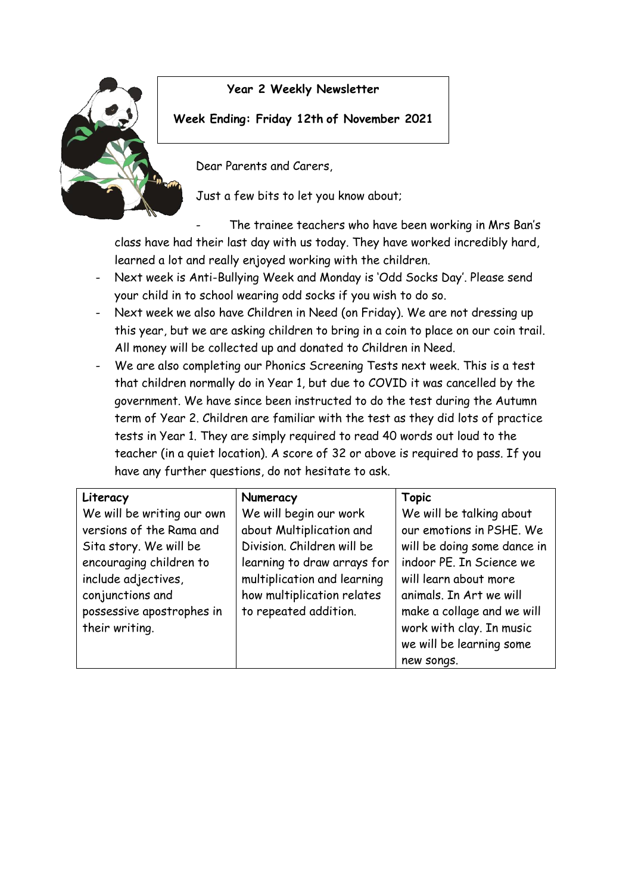

## **Year 2 Weekly Newsletter**

## **Week Ending: Friday 12th of November 2021**

Dear Parents and Carers,

Just a few bits to let you know about;

The trainee teachers who have been working in Mrs Ban's class have had their last day with us today. They have worked incredibly hard, learned a lot and really enjoyed working with the children.

- Next week is Anti-Bullying Week and Monday is 'Odd Socks Day'. Please send your child in to school wearing odd socks if you wish to do so.
- Next week we also have Children in Need (on Friday). We are not dressing up this year, but we are asking children to bring in a coin to place on our coin trail. All money will be collected up and donated to Children in Need.
- We are also completing our Phonics Screening Tests next week. This is a test that children normally do in Year 1, but due to COVID it was cancelled by the government. We have since been instructed to do the test during the Autumn term of Year 2. Children are familiar with the test as they did lots of practice tests in Year 1. They are simply required to read 40 words out loud to the teacher (in a quiet location). A score of 32 or above is required to pass. If you have any further questions, do not hesitate to ask.

| Literacy                                                                                                                                                                                              | Numeracy                                                                                                                                                                                              | <b>Topic</b>                                                                                                                                                                                                                  |
|-------------------------------------------------------------------------------------------------------------------------------------------------------------------------------------------------------|-------------------------------------------------------------------------------------------------------------------------------------------------------------------------------------------------------|-------------------------------------------------------------------------------------------------------------------------------------------------------------------------------------------------------------------------------|
| We will be writing our own<br>versions of the Rama and<br>Sita story. We will be<br>encouraging children to<br>include adjectives,<br>conjunctions and<br>possessive apostrophes in<br>their writing. | We will begin our work<br>about Multiplication and<br>Division. Children will be<br>learning to draw arrays for<br>multiplication and learning<br>how multiplication relates<br>to repeated addition. | We will be talking about<br>our emotions in PSHE. We<br>will be doing some dance in<br>indoor PE. In Science we<br>will learn about more<br>animals. In Art we will<br>make a collage and we will<br>work with clay. In music |
|                                                                                                                                                                                                       |                                                                                                                                                                                                       | we will be learning some<br>new songs.                                                                                                                                                                                        |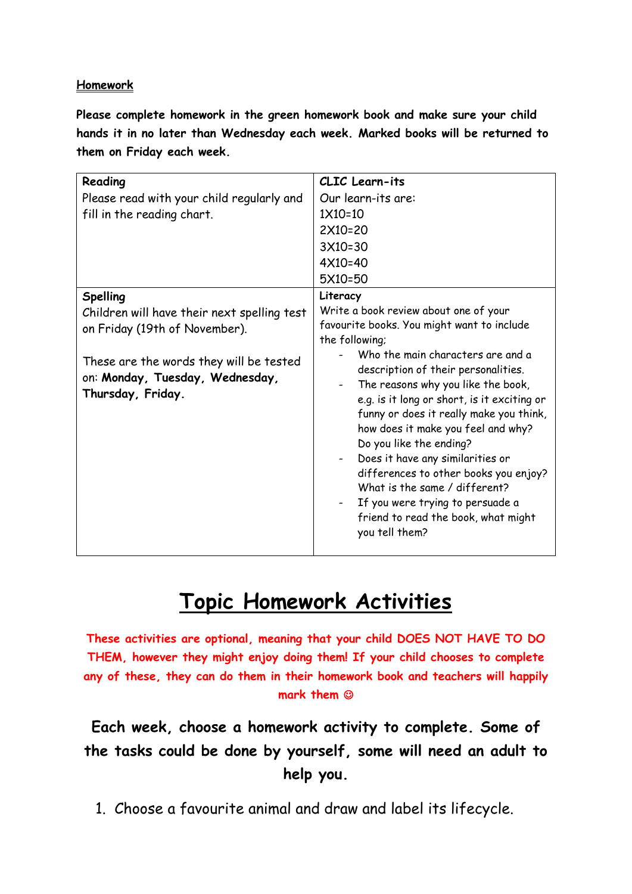## **Homework**

**Please complete homework in the green homework book and make sure your child hands it in no later than Wednesday each week. Marked books will be returned to them on Friday each week.** 

| Reading                                                                                         | <b>CLIC</b> Learn-its                                                                                                                                                                                                                                                                                                                                                                                                                                                                |
|-------------------------------------------------------------------------------------------------|--------------------------------------------------------------------------------------------------------------------------------------------------------------------------------------------------------------------------------------------------------------------------------------------------------------------------------------------------------------------------------------------------------------------------------------------------------------------------------------|
| Please read with your child regularly and                                                       | Our learn-its are:                                                                                                                                                                                                                                                                                                                                                                                                                                                                   |
| fill in the reading chart.                                                                      | $1X10=10$                                                                                                                                                                                                                                                                                                                                                                                                                                                                            |
|                                                                                                 | 2X10=20                                                                                                                                                                                                                                                                                                                                                                                                                                                                              |
|                                                                                                 | 3X10=30                                                                                                                                                                                                                                                                                                                                                                                                                                                                              |
|                                                                                                 | 4X10=40                                                                                                                                                                                                                                                                                                                                                                                                                                                                              |
|                                                                                                 | 5X10=50                                                                                                                                                                                                                                                                                                                                                                                                                                                                              |
| Spelling                                                                                        | Literacy                                                                                                                                                                                                                                                                                                                                                                                                                                                                             |
| Children will have their next spelling test                                                     | Write a book review about one of your                                                                                                                                                                                                                                                                                                                                                                                                                                                |
| on Friday (19th of November).                                                                   | favourite books. You might want to include                                                                                                                                                                                                                                                                                                                                                                                                                                           |
|                                                                                                 | the following;                                                                                                                                                                                                                                                                                                                                                                                                                                                                       |
| These are the words they will be tested<br>on: Monday, Tuesday, Wednesday,<br>Thursday, Friday. | Who the main characters are and a<br>description of their personalities.<br>The reasons why you like the book,<br>e.g. is it long or short, is it exciting or<br>funny or does it really make you think,<br>how does it make you feel and why?<br>Do you like the ending?<br>Does it have any similarities or<br>differences to other books you enjoy?<br>What is the same / different?<br>If you were trying to persuade a<br>friend to read the book, what might<br>you tell them? |

## **Topic Homework Activities**

**These activities are optional, meaning that your child DOES NOT HAVE TO DO THEM, however they might enjoy doing them! If your child chooses to complete any of these, they can do them in their homework book and teachers will happily mark them** 

**Each week, choose a homework activity to complete. Some of the tasks could be done by yourself, some will need an adult to help you.**

1. Choose a favourite animal and draw and label its lifecycle.